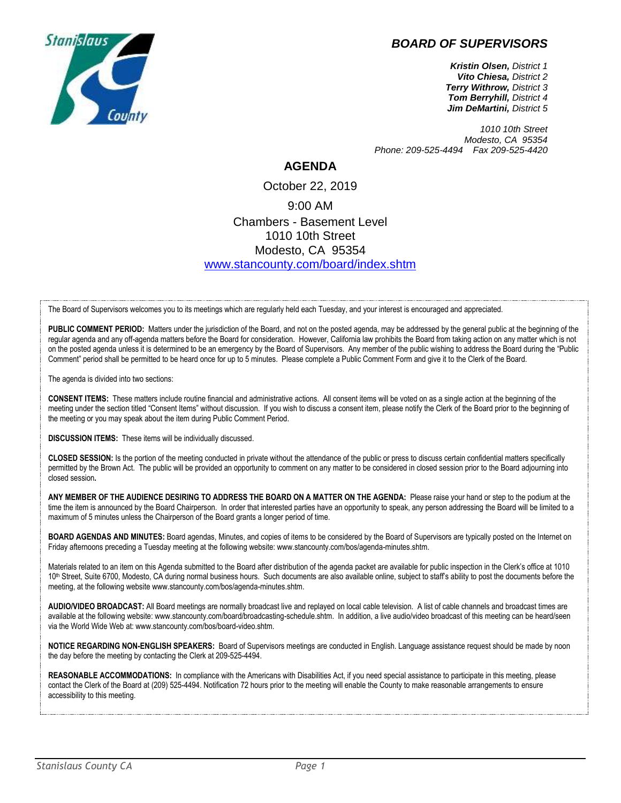## *BOARD OF SUPERVISORS*



*Kristin Olsen, District 1 Vito Chiesa, District 2 Terry Withrow, District 3 Tom Berryhill, District 4 Jim DeMartini, District 5*

*1010 10th Street Modesto, CA 95354 Phone: 209-525-4494 Fax 209-525-4420*

## **AGENDA**

## October 22, 2019 9:00 AM Chambers - Basement Level 1010 10th Street Modesto, CA 95354 [www.stancounty.com/board/index.shtm](http://www.stancounty.com/board/index.shtm)

The Board of Supervisors welcomes you to its meetings which are regularly held each Tuesday, and your interest is encouraged and appreciated.

PUBLIC COMMENT PERIOD: Matters under the jurisdiction of the Board, and not on the posted agenda, may be addressed by the general public at the beginning of the regular agenda and any off-agenda matters before the Board for consideration. However, California law prohibits the Board from taking action on any matter which is not on the posted agenda unless it is determined to be an emergency by the Board of Supervisors. Any member of the public wishing to address the Board during the "Public Comment" period shall be permitted to be heard once for up to 5 minutes. Please complete a Public Comment Form and give it to the Clerk of the Board.

The agenda is divided into two sections:

**CONSENT ITEMS:** These matters include routine financial and administrative actions. All consent items will be voted on as a single action at the beginning of the meeting under the section titled "Consent Items" without discussion. If you wish to discuss a consent item, please notify the Clerk of the Board prior to the beginning of the meeting or you may speak about the item during Public Comment Period.

**DISCUSSION ITEMS:** These items will be individually discussed.

**CLOSED SESSION:** Is the portion of the meeting conducted in private without the attendance of the public or press to discuss certain confidential matters specifically permitted by the Brown Act. The public will be provided an opportunity to comment on any matter to be considered in closed session prior to the Board adjourning into closed session**.**

**ANY MEMBER OF THE AUDIENCE DESIRING TO ADDRESS THE BOARD ON A MATTER ON THE AGENDA:** Please raise your hand or step to the podium at the time the item is announced by the Board Chairperson. In order that interested parties have an opportunity to speak, any person addressing the Board will be limited to a maximum of 5 minutes unless the Chairperson of the Board grants a longer period of time.

**BOARD AGENDAS AND MINUTES:** Board agendas, Minutes, and copies of items to be considered by the Board of Supervisors are typically posted on the Internet on Friday afternoons preceding a Tuesday meeting at the following website: www.stancounty.com/bos/agenda-minutes.shtm.

Materials related to an item on this Agenda submitted to the Board after distribution of the agenda packet are available for public inspection in the Clerk's office at 1010 10<sup>th</sup> Street, Suite 6700, Modesto, CA during normal business hours. Such documents are also available online, subject to staff's ability to post the documents before the meeting, at the following website www.stancounty.com/bos/agenda-minutes.shtm.

**AUDIO/VIDEO BROADCAST:** All Board meetings are normally broadcast live and replayed on local cable television. A list of cable channels and broadcast times are available at the following website: www.stancounty.com/board/broadcasting-schedule.shtm. In addition, a live audio/video broadcast of this meeting can be heard/seen via the World Wide Web at: www.stancounty.com/bos/board-video.shtm.

**NOTICE REGARDING NON-ENGLISH SPEAKERS:** Board of Supervisors meetings are conducted in English. Language assistance request should be made by noon the day before the meeting by contacting the Clerk at 209-525-4494.

REASONABLE ACCOMMODATIONS: In compliance with the Americans with Disabilities Act, if you need special assistance to participate in this meeting, please contact the Clerk of the Board at (209) 525-4494. Notification 72 hours prior to the meeting will enable the County to make reasonable arrangements to ensure accessibility to this meeting.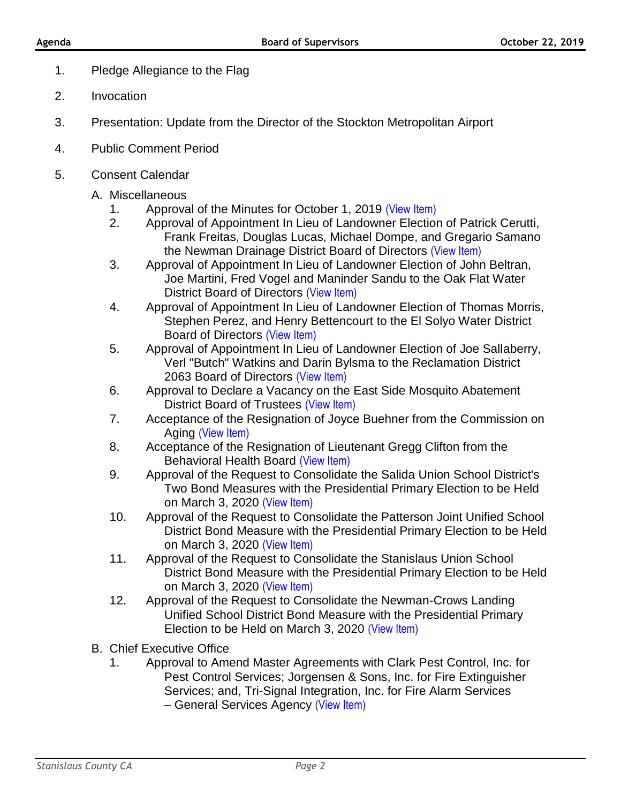- 1. Pledge Allegiance to the Flag
- 2. Invocation
- 3. Presentation: Update from the Director of the Stockton Metropolitan Airport
- 4. Public Comment Period
- 5. Consent Calendar
	- A. Miscellaneous
		- 1. Approval of the Minutes for October 1, 2019 [\(View Item\)](http://www.stancounty.com/bos/minutes/2019/min10-01-19.pdf)
		- 2. Approval of Appointment In Lieu of Landowner Election of Patrick Cerutti, Frank Freitas, Douglas Lucas, Michael Dompe, and Gregario Samano the Newman Drainage District Board of Directors [\(View Item\)](http://www.stancounty.com/bos/agenda/2019/20191022/A02.pdf)
		- 3. Approval of Appointment In Lieu of Landowner Election of John Beltran, Joe Martini, Fred Vogel and Maninder Sandu to the Oak Flat Water District Board of Directors [\(View Item\)](http://www.stancounty.com/bos/agenda/2019/20191022/A03.pdf)
		- 4. Approval of Appointment In Lieu of Landowner Election of Thomas Morris, Stephen Perez, and Henry Bettencourt to the El Solyo Water District Board of Directors [\(View Item\)](http://www.stancounty.com/bos/agenda/2019/20191022/A04.pdf)
		- 5. Approval of Appointment In Lieu of Landowner Election of Joe Sallaberry, Verl "Butch" Watkins and Darin Bylsma to the Reclamation District 2063 Board of Directors [\(View Item\)](http://www.stancounty.com/bos/agenda/2019/20191022/A05.pdf)
		- 6. Approval to Declare a Vacancy on the East Side Mosquito Abatement District Board of Trustees [\(View Item\)](http://www.stancounty.com/bos/agenda/2019/20191022/A06.pdf)
		- 7. Acceptance of the Resignation of Joyce Buehner from the Commission on Aging [\(View Item\)](http://www.stancounty.com/bos/agenda/2019/20191022/A07.pdf)
		- 8. Acceptance of the Resignation of Lieutenant Gregg Clifton from the Behavioral Health Board [\(View Item\)](http://www.stancounty.com/bos/agenda/2019/20191022/A08.pdf)
		- 9. Approval of the Request to Consolidate the Salida Union School District's Two Bond Measures with the Presidential Primary Election to be Held on March 3, 2020 [\(View Item\)](http://www.stancounty.com/bos/agenda/2019/20191022/A09.pdf)
		- 10. Approval of the Request to Consolidate the Patterson Joint Unified School District Bond Measure with the Presidential Primary Election to be Held on March 3, 2020 [\(View Item\)](http://www.stancounty.com/bos/agenda/2019/20191022/A10.pdf)
		- 11. Approval of the Request to Consolidate the Stanislaus Union School District Bond Measure with the Presidential Primary Election to be Held on March 3, 2020 (View Item)
		- 12. Approval of the Req[uest to Consolid](http://www.stancounty.com/bos/agenda/2019/20191022/A11.pdf)ate the Newman-Crows Landing Unified School District Bond Measure with the Presidential Primary Election to be Held on March 3, 2020 [\(View Item\)](http://www.stancounty.com/bos/agenda/2019/20191022/A12.pdf)
	- B. Chief Executive Office
		- 1. Approval to Amend Master Agreements with Clark Pest Control, Inc. for Pest Control Services; Jorgensen & Sons, Inc. for Fire Extinguisher Services; and, Tri-Signal Integration, Inc. for Fire Alarm Services – General Services Agency [\(View Item\)](http://www.stancounty.com/bos/agenda/2019/20191022/B01.pdf)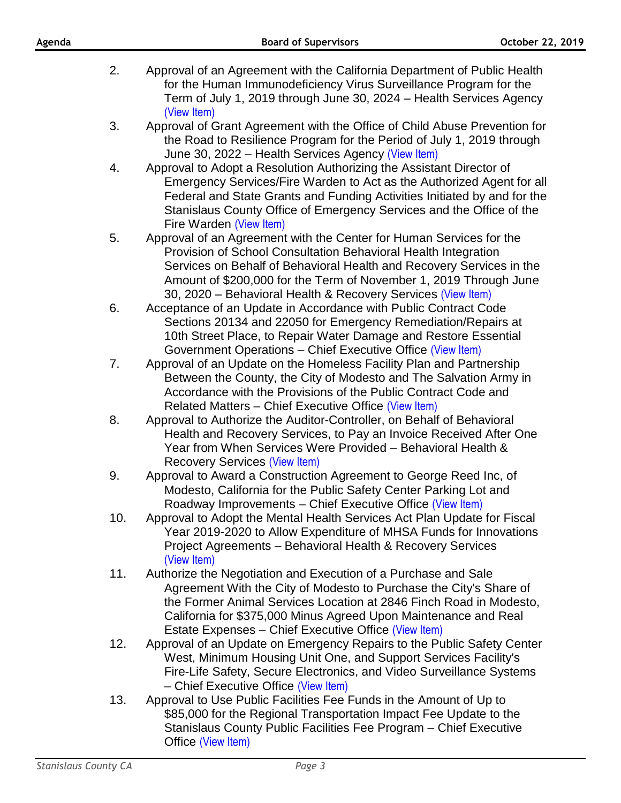- 2. Approval of an Agreement with the California Department of Public Health for the Human Immunodeficiency Virus Surveillance Program for the Term of July 1, 2019 through June 30, 2024 – Health Services Agency [\(View Item\)](http://www.stancounty.com/bos/agenda/2019/20191022/B02.pdf)
- 3. Approval of Grant Agreement with the Office of Child Abuse Prevention for the Road to Resilience Program for the Period of July 1, 2019 through June 30, 2022 – Health Services Agency [\(View Item\)](http://www.stancounty.com/bos/agenda/2019/20191022/B03.pdf)
- 4. Approval to Adopt a Resolution Authorizing the Assistant Director of Emergency Services/Fire Warden to Act as the Authorized Agent for all Federal and State Grants and Funding Activities Initiated by and for the Stanislaus County Office of Emergency Services and the Office of the Fire Warden [\(View Item\)](http://www.stancounty.com/bos/agenda/2019/20191022/B04.pdf)
- 5. Approval of an Agreement with the Center for Human Services for the Provision of School Consultation Behavioral Health Integration Services on Behalf of Behavioral Health and Recovery Services in the Amount of \$200,000 for the Term of November 1, 2019 Through June 30, 2020 – Behavioral Health & Recovery Services [\(View Item\)](http://www.stancounty.com/bos/agenda/2019/20191022/B05.pdf)
- 6. Acceptance of an Update in Accordance with Public Contract Code Sections 20134 and 22050 for Emergency Remediation/Repairs at 10th Street Place, to Repair Water Damage and Restore Essential Government Operations – Chief Executive Office [\(View Item\)](http://www.stancounty.com/bos/agenda/2019/20191022/B06.pdf)
- 7. Approval of an Update on the Homeless Facility Plan and Partnership Between the County, the City of Modesto and The Salvation Army in Accordance with the Provisions of the Public Contract Code and Related Matters – Chief Executive Office [\(View Item\)](http://www.stancounty.com/bos/agenda/2019/20191022/B07.pdf)
- 8. Approval to Authorize the Auditor-Controller, on Behalf of Behavioral Health and Recovery Services, to Pay an Invoice Received After One Year from When Services Were Provided – Behavioral Health & Recovery Services [\(View Item\)](http://www.stancounty.com/bos/agenda/2019/20191022/B08.pdf)
- 9. Approval to Award a Construction Agreement to George Reed Inc, of Modesto, California for the Public Safety Center Parking Lot and Roadway Improvements – Chief Executive Office [\(View Item\)](http://www.stancounty.com/bos/agenda/2019/20191022/B09.pdf)
- 10. Approval to Adopt the Mental Health Services Act Plan Update for Fiscal Year 2019-2020 to Allow Expenditure of MHSA Funds for Innovations Project Agreements – Behavioral Health & Recovery Services [\(View Item\)](http://www.stancounty.com/bos/agenda/2019/20191022/B10.pdf)
- 11. Authorize the Negotiation and Execution of a Purchase and Sale Agreement With the City of Modesto to Purchase the City's Share of the Former Animal Services Location at 2846 Finch Road in Modesto, California for \$375,000 Minus Agreed Upon Maintenance and Real Estate Expenses - Chief Executive Office [\(View Item\)](http://www.stancounty.com/bos/agenda/2019/20191022/B11.pdf)
- 12. Approval of an Update on Emergency Repairs to the Public Safety Center West, Minimum Housing Unit One, and Support Services Facility's Fire-Life Safety, Secure Electronics, and Video Surveillance Systems – Chief Executive Office [\(View Item\)](http://www.stancounty.com/bos/agenda/2019/20191022/B12.pdf)
- 13. Approval to Use Public Facilities Fee Funds in the Amount of Up to \$85,000 for the Regional Transportation Impact Fee Update to the Stanislaus County Public Facilities Fee Program – Chief Executive Office [\(View Item\)](http://www.stancounty.com/bos/agenda/2019/20191022/B13.pdf)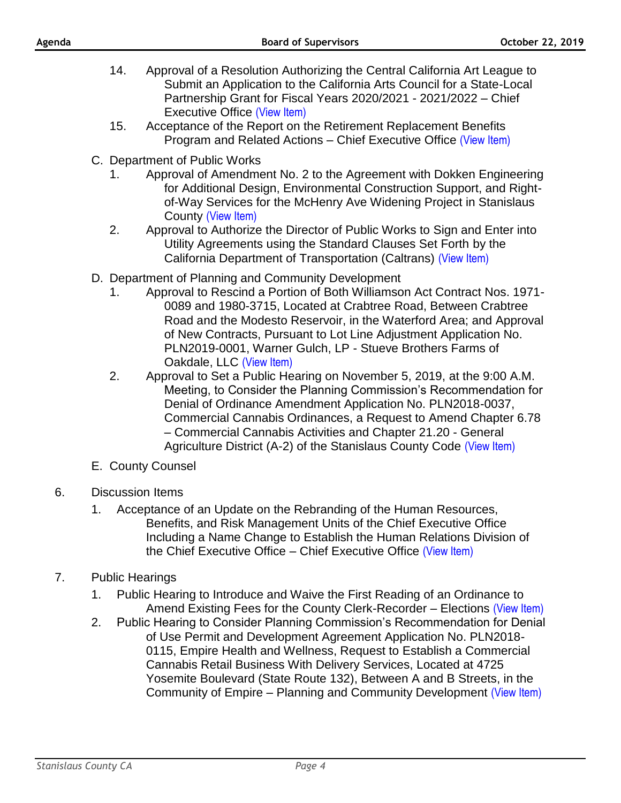- 14. Approval of a Resolution Authorizing the Central California Art League to Submit an Application to the California Arts Council for a State-Local Partnership Grant for Fiscal Years 2020/2021 - 2021/2022 – Chief Executive Office [\(View Item\)](http://www.stancounty.com/bos/agenda/2019/20191022/B14.pdf)
- 15. Acceptance of the Report on the Retirement Replacement Benefits Program and Related Actions – Chief Executive Office [\(View Item\)](http://www.stancounty.com/bos/agenda/2019/20191022/B15.pdf)
- C. Department of Public Works
	- 1. Approval of Amendment No. 2 to the Agreement with Dokken Engineering for Additional Design, Environmental Construction Support, and Rightof-Way Services for the McHenry Ave Widening Project in Stanislaus County [\(View Item\)](http://www.stancounty.com/bos/agenda/2019/20191022/C01.pdf)
	- 2. Approval to Authorize the Director of Public Works to Sign and Enter into Utility Agreements using the Standard Clauses Set Forth by the California Department of Transportation (Caltrans) [\(View Item\)](http://www.stancounty.com/bos/agenda/2019/20191022/C02.pdf)
- D. Department of Planning and Community Development
	- 1. Approval to Rescind a Portion of Both Williamson Act Contract Nos. 1971- 0089 and 1980-3715, Located at Crabtree Road, Between Crabtree Road and the Modesto Reservoir, in the Waterford Area; and Approval of New Contracts, Pursuant to Lot Line Adjustment Application No. PLN2019-0001, Warner Gulch, LP - Stueve Brothers Farms of Oakdale, LLC [\(View Item\)](http://www.stancounty.com/bos/agenda/2019/20191022/D01.pdf)
	- 2. Approval to Set a Public Hearing on November 5, 2019, at the 9:00 A.M. Meeting, to Consider the Planning Commission's Recommendation for Denial of Ordinance Amendment Application No. PLN2018-0037, Commercial Cannabis Ordinances, a Request to Amend Chapter 6.78 – Commercial Cannabis Activities and Chapter 21.20 - General Agriculture District (A-2) of the Stanislaus County Code [\(View Item\)](http://www.stancounty.com/bos/agenda/2019/20191022/D02.pdf)
- E. County Counsel
- 6. Discussion Items
	- 1. Acceptance of an Update on the Rebranding of the Human Resources, Benefits, and Risk Management Units of the Chief Executive Office Including a Name Change to Establish the Human Relations Division of the Chief Executive Office – Chief Executive Office [\(View Item\)](http://www.stancounty.com/bos/agenda/2019/20191022/DISS01.pdf)
- 7. Public Hearings
	- 1. Public Hearing to Introduce and Waive the First Reading of an Ordinance to Amend Existing Fees for the County Clerk-Recorder – Elections [\(View Item\)](http://www.stancounty.com/bos/agenda/2019/20191022/PH01.pdf)
	- 2. Public Hearing to Consider Planning Commission's Recommendation for Denial of Use Permit and Development Agreement Application No. PLN2018- 0115, Empire Health and Wellness, Request to Establish a Commercial Cannabis Retail Business With Delivery Services, Located at 4725 Yosemite Boulevard (State Route 132), Between A and B Streets, in the Community of Empire – Planning and Community Development [\(View Item\)](http://www.stancounty.com/bos/agenda/2019/20191022/PH02.pdf)